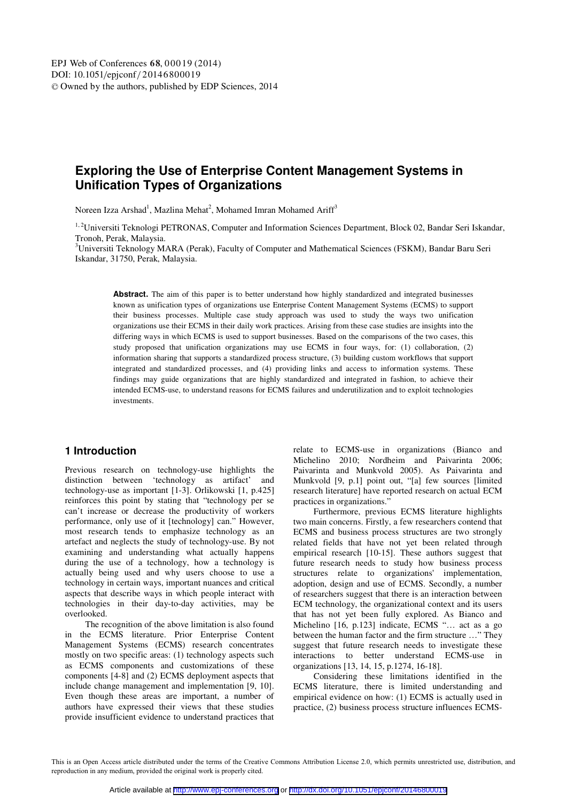# **Exploring the Use of Enterprise Content Management Systems in Unification Types of Organizations**

Noreen Izza Arshad<sup>1</sup>, Mazlina Mehat<sup>2</sup>, Mohamed Imran Mohamed Ariff<sup>3</sup>

<sup>1, 2</sup>Universiti Teknologi PETRONAS, Computer and Information Sciences Department, Block 02, Bandar Seri Iskandar, Tronoh, Perak, Malaysia.

<sup>3</sup>Universiti Teknology MARA (Perak), Faculty of Computer and Mathematical Sciences (FSKM), Bandar Baru Seri Iskandar, 31750, Perak, Malaysia.

Abstract. The aim of this paper is to better understand how highly standardized and integrated businesses known as unification types of organizations use Enterprise Content Management Systems (ECMS) to support their business processes. Multiple case study approach was used to study the ways two unification organizations use their ECMS in their daily work practices. Arising from these case studies are insights into the differing ways in which ECMS is used to support businesses. Based on the comparisons of the two cases, this study proposed that unification organizations may use ECMS in four ways, for: (1) collaboration, (2) information sharing that supports a standardized process structure, (3) building custom workflows that support integrated and standardized processes, and (4) providing links and access to information systems. These findings may guide organizations that are highly standardized and integrated in fashion, to achieve their intended ECMS-use, to understand reasons for ECMS failures and underutilization and to exploit technologies investments.

# **1 Introduction**

Previous research on technology-use highlights the distinction between 'technology as artifact' and technology-use as important [1-3]. Orlikowski [1, p.425] reinforces this point by stating that "technology per se can't increase or decrease the productivity of workers performance, only use of it [technology] can." However, most research tends to emphasize technology as an artefact and neglects the study of technology-use. By not examining and understanding what actually happens during the use of a technology, how a technology is actually being used and why users choose to use a technology in certain ways, important nuances and critical aspects that describe ways in which people interact with technologies in their day-to-day activities, may be overlooked.

The recognition of the above limitation is also found in the ECMS literature. Prior Enterprise Content Management Systems (ECMS) research concentrates mostly on two specific areas: (1) technology aspects such as ECMS components and customizations of these components [4-8] and (2) ECMS deployment aspects that include change management and implementation [9, 10]. Even though these areas are important, a number of authors have expressed their views that these studies provide insufficient evidence to understand practices that

relate to ECMS-use in organizations (Bianco and Michelino 2010; Nordheim and Paivarinta 2006; Paivarinta and Munkvold 2005). As Paivarinta and Munkvold [9, p.1] point out, "[a] few sources [limited research literature] have reported research on actual ECM practices in organizations."

Furthermore, previous ECMS literature highlights two main concerns. Firstly, a few researchers contend that ECMS and business process structures are two strongly related fields that have not yet been related through empirical research [10-15]. These authors suggest that future research needs to study how business process structures relate to organizations' implementation, adoption, design and use of ECMS. Secondly, a number of researchers suggest that there is an interaction between ECM technology, the organizational context and its users that has not yet been fully explored. As Bianco and Michelino [16, p.123] indicate, ECMS "… act as a go between the human factor and the firm structure …" They suggest that future research needs to investigate these interactions to better understand ECMS-use in organizations [13, 14, 15, p.1274, 16-18].

Considering these limitations identified in the ECMS literature, there is limited understanding and empirical evidence on how: (1) ECMS is actually used in practice, (2) business process structure influences ECMS-

This is an Open Access article distributed under the terms of the Creative Commons Attribution License 2.0, which permits unrestricted use, distribution, and reproduction in any medium, provided the original work is properly cited.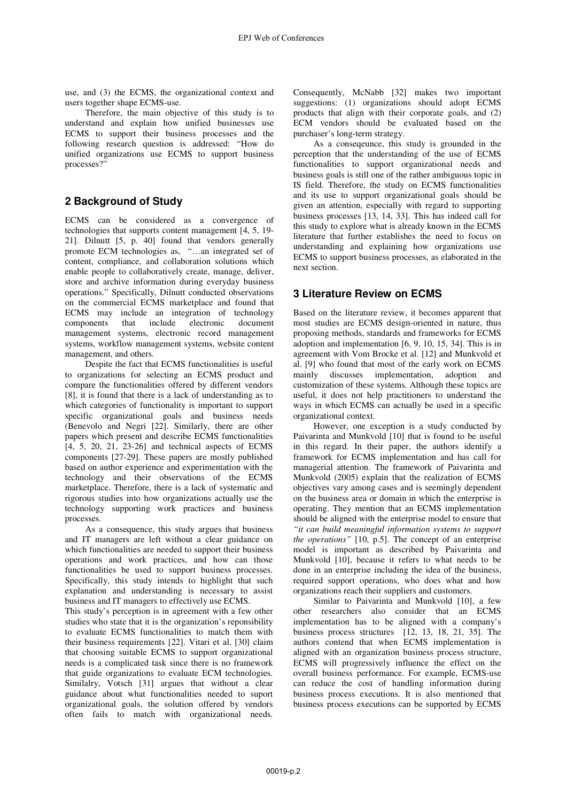use, and (3) the ECMS, the organizational context and users together shape ECMS-use.

Therefore, the main objective of this study is to understand and explain how unified businesses use ECMS to support their business processes and the following research question is addressed: "How do unified organizations use ECMS to support business processes?"

# **2 Background of Study**

ECMS can be considered as a convergence of technologies that supports content management [4, 5, 19- 21]. Dilnutt [5, p. 40] found that vendors generally promote ECM technologies as, "…an integrated set of content, compliance, and collaboration solutions which enable people to collaboratively create, manage, deliver, store and archive information during everyday business operations." Specifically, Dilnutt conducted observations on the commercial ECMS marketplace and found that ECMS may include an integration of technology components that include electronic document management systems, electronic record management systems, workflow management systems, website content management, and others.

Despite the fact that ECMS functionalities is useful to organizations for selecting an ECMS product and compare the functionalities offered by different vendors [8], it is found that there is a lack of understanding as to which categories of functionality is important to support specific organizational goals and business needs (Benevolo and Negri [22]. Similarly, there are other papers which present and describe ECMS functionalities [4, 5, 20, 21, 23-26] and technical aspects of ECMS components [27-29]. These papers are mostly published based on author experience and experimentation with the technology and their observations of the ECMS marketplace. Therefore, there is a lack of systematic and rigorous studies into how organizations actually use the technology supporting work practices and business processes.

As a consequence, this study argues that business and IT managers are left without a clear guidance on which functionalities are needed to support their business operations and work practices, and how can those functionalities be used to support business processes. Specifically, this study intends to highlight that such explanation and understanding is necessary to assist business and IT managers to effectively use ECMS.

This study's perception is in agreement with a few other studies who state that it is the organization's reponsibility to evaluate ECMS functionalities to match them with their business requirements [22]. Vitari et al. [30] claim that choosing suitable ECMS to support organizational needs is a complicated task since there is no framework that guide organizations to evaluate ECM technologies. Similalry, Votsch [31] argues that without a clear guidance about what functionalities needed to suport organizational goals, the solution offered by vendors often fails to match with organizational needs. Consequently, McNabb [32] makes two important suggestions: (1) organizations should adopt ECMS products that align with their corporate goals, and (2) ECM vendors should be evaluated based on the purchaser's long-term strategy.

As a conseqeunce, this study is grounded in the perception that the understanding of the use of ECMS functionalities to support organizational needs and business goals is still one of the rather ambiguous topic in IS field. Therefore, the study on ECMS functionalities and its use to support organizational goals should be given an attention, especially with regard to supporting business processes [13, 14, 33]. This has indeed call for this study to explore what is already known in the ECMS literature that further establishes the need to focus on understanding and explaining how organizations use ECMS to support business processes, as elaborated in the next section.

# **3 Literature Review on ECMS**

Based on the literature review, it becomes apparent that most studies are ECMS design-oriented in nature, thus proposing methods, standards and frameworks for ECMS adoption and implementation [6, 9, 10, 15, 34]. This is in agreement with Vom Brocke et al. [12] and Munkvold et al. [9] who found that most of the early work on ECMS mainly discusses implementation, adoption and customization of these systems. Although these topics are useful, it does not help practitioners to understand the ways in which ECMS can actually be used in a specific organizational context.

However, one exception is a study conducted by Paivarinta and Munkvold [10] that is found to be useful in this regard. In their paper, the authors identify a framework for ECMS implementation and has call for managerial attention. The framework of Paivarinta and Munkvold (2005) explain that the realization of ECMS objectives vary among cases and is seemingly dependent on the business area or domain in which the enterprise is operating. They mention that an ECMS implementation should be aligned with the enterprise model to ensure that *"it can build meaningful information systems to support the operations"* [10, p.5]. The concept of an enterprise model is important as described by Paivarinta and Munkvold [10], because it refers to what needs to be done in an enterprise including the idea of the business, required support operations, who does what and how organizations reach their suppliers and customers.

Similar to Paivarinta and Munkvold [10], a few other researchers also consider that an ECMS implementation has to be aligned with a company's business process structures [12, 13, 18, 21, 35]. The authors contend that when ECMS implementation is aligned with an organization business process structure, ECMS will progressively influence the effect on the overall business performance. For example, ECMS-use can reduce the cost of handling information during business process executions. It is also mentioned that business process executions can be supported by ECMS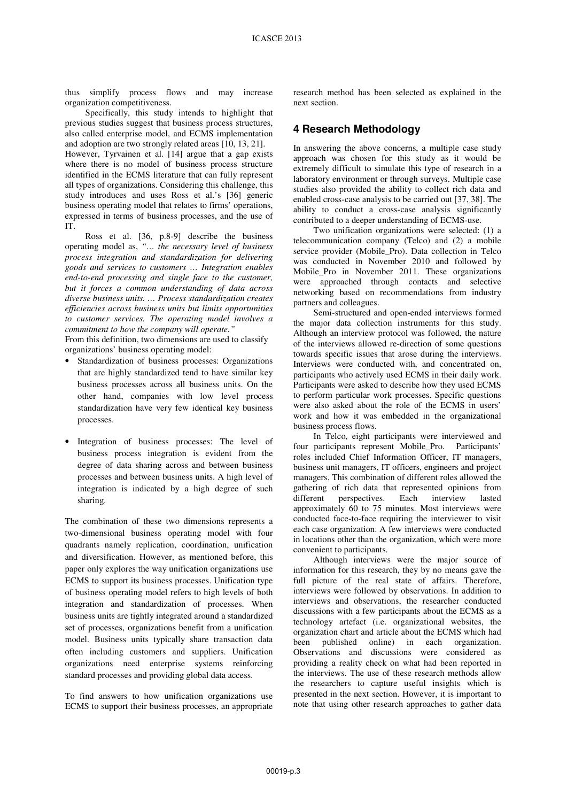thus simplify process flows and may increase organization competitiveness.

Specifically, this study intends to highlight that previous studies suggest that business process structures, also called enterprise model, and ECMS implementation and adoption are two strongly related areas [10, 13, 21].

However, Tyrvainen et al. [14] argue that a gap exists where there is no model of business process structure identified in the ECMS literature that can fully represent all types of organizations. Considering this challenge, this study introduces and uses Ross et al.'s [36] generic business operating model that relates to firms' operations, expressed in terms of business processes, and the use of IT.

Ross et al. [36, p.8-9] describe the business operating model as, *"… the necessary level of business process integration and standardization for delivering goods and services to customers … Integration enables end-to-end processing and single face to the customer, but it forces a common understanding of data across diverse business units. … Process standardization creates efficiencies across business units but limits opportunities to customer services. The operating model involves a commitment to how the company will operate."* 

From this definition, two dimensions are used to classify organizations' business operating model:

- Standardization of business processes: Organizations that are highly standardized tend to have similar key business processes across all business units. On the other hand, companies with low level process standardization have very few identical key business processes.
- Integration of business processes: The level of business process integration is evident from the degree of data sharing across and between business processes and between business units. A high level of integration is indicated by a high degree of such sharing.

The combination of these two dimensions represents a two-dimensional business operating model with four quadrants namely replication, coordination, unification and diversification. However, as mentioned before, this paper only explores the way unification organizations use ECMS to support its business processes. Unification type of business operating model refers to high levels of both integration and standardization of processes. When business units are tightly integrated around a standardized set of processes, organizations benefit from a unification model. Business units typically share transaction data often including customers and suppliers. Unification organizations need enterprise systems reinforcing standard processes and providing global data access.

To find answers to how unification organizations use ECMS to support their business processes, an appropriate research method has been selected as explained in the next section.

### **4 Research Methodology**

In answering the above concerns, a multiple case study approach was chosen for this study as it would be extremely difficult to simulate this type of research in a laboratory environment or through surveys. Multiple case studies also provided the ability to collect rich data and enabled cross-case analysis to be carried out [37, 38]. The ability to conduct a cross-case analysis significantly contributed to a deeper understanding of ECMS-use.

Two unification organizations were selected: (1) a telecommunication company (Telco) and (2) a mobile service provider (Mobile\_Pro). Data collection in Telco was conducted in November 2010 and followed by Mobile\_Pro in November 2011. These organizations were approached through contacts and selective networking based on recommendations from industry partners and colleagues.

Semi-structured and open-ended interviews formed the major data collection instruments for this study. Although an interview protocol was followed, the nature of the interviews allowed re-direction of some questions towards specific issues that arose during the interviews. Interviews were conducted with, and concentrated on, participants who actively used ECMS in their daily work. Participants were asked to describe how they used ECMS to perform particular work processes. Specific questions were also asked about the role of the ECMS in users' work and how it was embedded in the organizational business process flows.

In Telco, eight participants were interviewed and four participants represent Mobile\_Pro. Participants' roles included Chief Information Officer, IT managers, business unit managers, IT officers, engineers and project managers. This combination of different roles allowed the gathering of rich data that represented opinions from<br>different perspectives. Each interview lasted different perspectives. Each interview lasted approximately 60 to 75 minutes. Most interviews were conducted face-to-face requiring the interviewer to visit each case organization. A few interviews were conducted in locations other than the organization, which were more convenient to participants.

Although interviews were the major source of information for this research, they by no means gave the full picture of the real state of affairs. Therefore, interviews were followed by observations. In addition to interviews and observations, the researcher conducted discussions with a few participants about the ECMS as a technology artefact (i.e. organizational websites, the organization chart and article about the ECMS which had been published online) in each organization. Observations and discussions were considered as providing a reality check on what had been reported in the interviews. The use of these research methods allow the researchers to capture useful insights which is presented in the next section. However, it is important to note that using other research approaches to gather data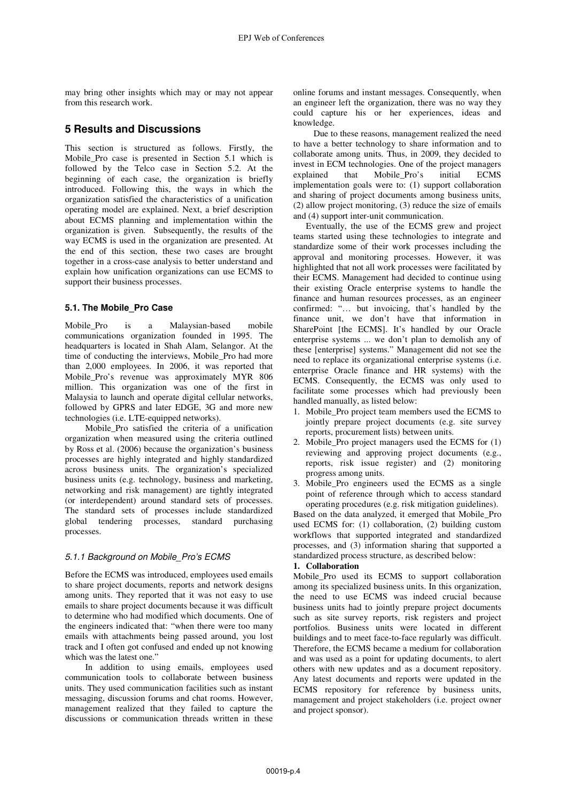may bring other insights which may or may not appear from this research work.

### **5 Results and Discussions**

This section is structured as follows. Firstly, the Mobile\_Pro case is presented in Section 5.1 which is followed by the Telco case in Section 5.2. At the beginning of each case, the organization is briefly introduced. Following this, the ways in which the organization satisfied the characteristics of a unification operating model are explained. Next, a brief description about ECMS planning and implementation within the organization is given. Subsequently, the results of the way ECMS is used in the organization are presented. At the end of this section, these two cases are brought together in a cross-case analysis to better understand and explain how unification organizations can use ECMS to support their business processes.

### **5.1. The Mobile\_Pro Case**

Mobile\_Pro is a Malaysian-based mobile communications organization founded in 1995. The headquarters is located in Shah Alam, Selangor. At the time of conducting the interviews, Mobile\_Pro had more than 2,000 employees. In 2006, it was reported that Mobile\_Pro's revenue was approximately MYR 806 million. This organization was one of the first in Malaysia to launch and operate digital cellular networks, followed by GPRS and later EDGE, 3G and more new technologies (i.e. LTE-equipped networks).

Mobile\_Pro satisfied the criteria of a unification organization when measured using the criteria outlined by Ross et al. (2006) because the organization's business processes are highly integrated and highly standardized across business units. The organization's specialized business units (e.g. technology, business and marketing, networking and risk management) are tightly integrated (or interdependent) around standard sets of processes. The standard sets of processes include standardized global tendering processes, standard purchasing processes.

### .1.1 Background on Mobile\_Pro's ECMS 5

Before the ECMS was introduced, employees used emails to share project documents, reports and network designs among units. They reported that it was not easy to use emails to share project documents because it was difficult to determine who had modified which documents. One of the engineers indicated that: "when there were too many emails with attachments being passed around, you lost track and I often got confused and ended up not knowing which was the latest one."

In addition to using emails, employees used communication tools to collaborate between business units. They used communication facilities such as instant messaging, discussion forums and chat rooms. However, management realized that they failed to capture the discussions or communication threads written in these

online forums and instant messages. Consequently, when an engineer left the organization, there was no way they could capture his or her experiences, ideas and knowledge.

Due to these reasons, management realized the need to have a better technology to share information and to collaborate among units. Thus, in 2009, they decided to invest in ECM technologies. One of the project managers<br>explained that Mobile Pro's initial ECMS explained that Mobile Pro's implementation goals were to: (1) support collaboration and sharing of project documents among business units, (2) allow project monitoring, (3) reduce the size of emails and (4) support inter-unit communication.

Eventually, the use of the ECMS grew and project teams started using these technologies to integrate and standardize some of their work processes including the approval and monitoring processes. However, it was highlighted that not all work processes were facilitated by their ECMS. Management had decided to continue using their existing Oracle enterprise systems to handle the finance and human resources processes, as an engineer confirmed: "… but invoicing, that's handled by the finance unit, we don't have that information in SharePoint [the ECMS]. It's handled by our Oracle enterprise systems ... we don't plan to demolish any of these [enterprise] systems." Management did not see the need to replace its organizational enterprise systems (i.e. enterprise Oracle finance and HR systems) with the ECMS. Consequently, the ECMS was only used to facilitate some processes which had previously been handled manually, as listed below:

- 1. Mobile\_Pro project team members used the ECMS to jointly prepare project documents (e.g. site survey reports, procurement lists) between units.
- 2. Mobile\_Pro project managers used the ECMS for (1) reviewing and approving project documents (e.g., reports, risk issue register) and (2) monitoring progress among units.
- 3. Mobile\_Pro engineers used the ECMS as a single point of reference through which to access standard operating procedures (e.g. risk mitigation guidelines).

Based on the data analyzed, it emerged that Mobile\_Pro used ECMS for: (1) collaboration, (2) building custom workflows that supported integrated and standardized processes, and (3) information sharing that supported a standardized process structure, as described below:

### **1. Collaboration**

Mobile\_Pro used its ECMS to support collaboration among its specialized business units. In this organization, the need to use ECMS was indeed crucial because business units had to jointly prepare project documents such as site survey reports, risk registers and project portfolios. Business units were located in different buildings and to meet face-to-face regularly was difficult. Therefore, the ECMS became a medium for collaboration and was used as a point for updating documents, to alert others with new updates and as a document repository. Any latest documents and reports were updated in the ECMS repository for reference by business units, management and project stakeholders (i.e. project owner and project sponsor).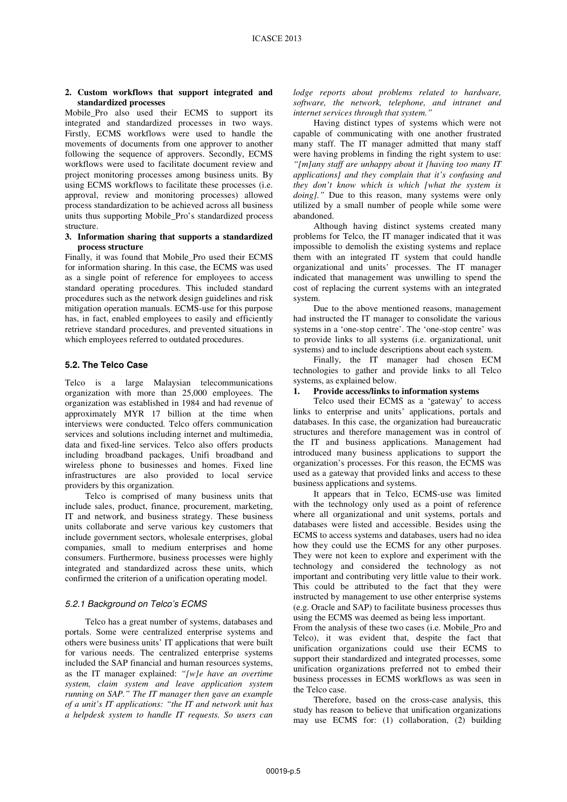#### **2. Custom workflows that support integrated and standardized processes**

Mobile\_Pro also used their ECMS to support its integrated and standardized processes in two ways. Firstly, ECMS workflows were used to handle the movements of documents from one approver to another following the sequence of approvers. Secondly, ECMS workflows were used to facilitate document review and project monitoring processes among business units. By using ECMS workflows to facilitate these processes (i.e. approval, review and monitoring processes) allowed process standardization to be achieved across all business units thus supporting Mobile\_Pro's standardized process structure.

### **3. Information sharing that supports a standardized process structure**

Finally, it was found that Mobile\_Pro used their ECMS for information sharing. In this case, the ECMS was used as a single point of reference for employees to access standard operating procedures. This included standard procedures such as the network design guidelines and risk mitigation operation manuals. ECMS-use for this purpose has, in fact, enabled employees to easily and efficiently retrieve standard procedures, and prevented situations in which employees referred to outdated procedures.

### **5.2. The Telco Case**

Telco is a large Malaysian telecommunications organization with more than 25,000 employees. The organization was established in 1984 and had revenue of approximately MYR 17 billion at the time when interviews were conducted. Telco offers communication services and solutions including internet and multimedia, data and fixed-line services. Telco also offers products including broadband packages, Unifi broadband and wireless phone to businesses and homes. Fixed line infrastructures are also provided to local service providers by this organization.

Telco is comprised of many business units that include sales, product, finance, procurement, marketing, IT and network, and business strategy. These business units collaborate and serve various key customers that include government sectors, wholesale enterprises, global companies, small to medium enterprises and home consumers. Furthermore, business processes were highly integrated and standardized across these units, which confirmed the criterion of a unification operating model.

### 5.2.1 Background on Telco's ECMS

Telco has a great number of systems, databases and portals. Some were centralized enterprise systems and others were business units' IT applications that were built for various needs. The centralized enterprise systems included the SAP financial and human resources systems, as the IT manager explained: *"[w]e have an overtime system, claim system and leave application system running on SAP." The IT manager then gave an example of a unit's IT applications: "the IT and network unit has a helpdesk system to handle IT requests. So users can*  *lodge reports about problems related to hardware, software, the network, telephone, and intranet and internet services through that system."*

Having distinct types of systems which were not capable of communicating with one another frustrated many staff. The IT manager admitted that many staff were having problems in finding the right system to use: *"[m]any staff are unhappy about it [having too many IT applications] and they complain that it's confusing and they don't know which is which [what the system is doing*." Due to this reason, many systems were only utilized by a small number of people while some were abandoned.

Although having distinct systems created many problems for Telco, the IT manager indicated that it was impossible to demolish the existing systems and replace them with an integrated IT system that could handle organizational and units' processes. The IT manager indicated that management was unwilling to spend the cost of replacing the current systems with an integrated system.

Due to the above mentioned reasons, management had instructed the IT manager to consolidate the various systems in a 'one-stop centre'. The 'one-stop centre' was to provide links to all systems (i.e. organizational, unit systems) and to include descriptions about each system.

Finally, the IT manager had chosen ECM technologies to gather and provide links to all Telco systems, as explained below.

### **1. Provide access/links to information systems**

Telco used their ECMS as a 'gateway' to access links to enterprise and units' applications, portals and databases. In this case, the organization had bureaucratic structures and therefore management was in control of the IT and business applications. Management had introduced many business applications to support the organization's processes. For this reason, the ECMS was used as a gateway that provided links and access to these business applications and systems.

It appears that in Telco, ECMS-use was limited with the technology only used as a point of reference where all organizational and unit systems, portals and databases were listed and accessible. Besides using the ECMS to access systems and databases, users had no idea how they could use the ECMS for any other purposes. They were not keen to explore and experiment with the technology and considered the technology as not important and contributing very little value to their work. This could be attributed to the fact that they were instructed by management to use other enterprise systems (e.g. Oracle and SAP) to facilitate business processes thus using the ECMS was deemed as being less important.

From the analysis of these two cases (i.e. Mobile\_Pro and Telco), it was evident that, despite the fact that unification organizations could use their ECMS to support their standardized and integrated processes, some unification organizations preferred not to embed their business processes in ECMS workflows as was seen in the Telco case.

Therefore, based on the cross-case analysis, this study has reason to believe that unification organizations may use ECMS for: (1) collaboration, (2) building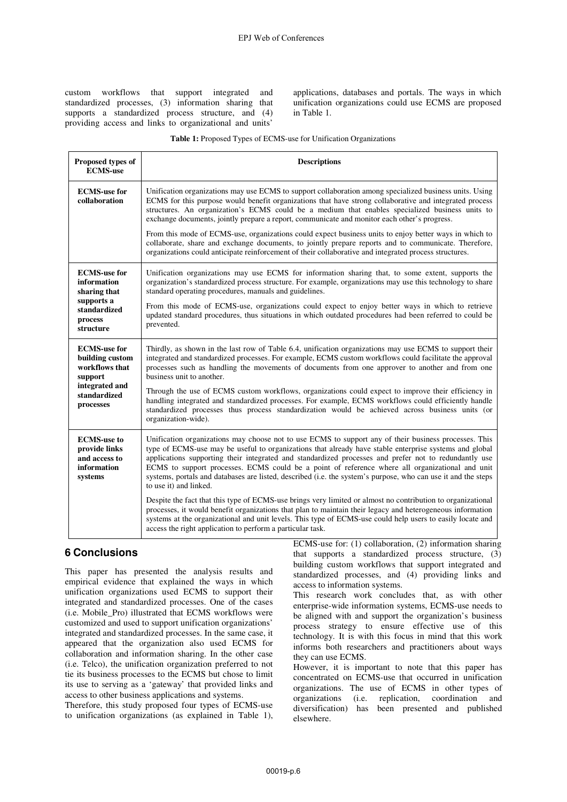custom workflows that support integrated and standardized processes, (3) information sharing that supports a standardized process structure, and (4) providing access and links to organizational and units'

applications, databases and portals. The ways in which unification organizations could use ECMS are proposed in Table 1.

#### **Table 1:** Proposed Types of ECMS-use for Unification Organizations

| Proposed types of<br><b>ECMS-use</b>                                                                               | <b>Descriptions</b>                                                                                                                                                                                                                                                                                                                                                                                                                                                                                                                                                                                                                                                                                                                                                                                                                                                                                                                                                             |
|--------------------------------------------------------------------------------------------------------------------|---------------------------------------------------------------------------------------------------------------------------------------------------------------------------------------------------------------------------------------------------------------------------------------------------------------------------------------------------------------------------------------------------------------------------------------------------------------------------------------------------------------------------------------------------------------------------------------------------------------------------------------------------------------------------------------------------------------------------------------------------------------------------------------------------------------------------------------------------------------------------------------------------------------------------------------------------------------------------------|
| <b>ECMS-use for</b><br>collaboration                                                                               | Unification organizations may use ECMS to support collaboration among specialized business units. Using<br>ECMS for this purpose would benefit organizations that have strong collaborative and integrated process<br>structures. An organization's ECMS could be a medium that enables specialized business units to<br>exchange documents, jointly prepare a report, communicate and monitor each other's progress.<br>From this mode of ECMS-use, organizations could expect business units to enjoy better ways in which to<br>collaborate, share and exchange documents, to jointly prepare reports and to communicate. Therefore,<br>organizations could anticipate reinforcement of their collaborative and integrated process structures.                                                                                                                                                                                                                               |
| <b>ECMS-use for</b><br>information<br>sharing that<br>supports a<br>standardized<br>process<br>structure           | Unification organizations may use ECMS for information sharing that, to some extent, supports the<br>organization's standardized process structure. For example, organizations may use this technology to share<br>standard operating procedures, manuals and guidelines.<br>From this mode of ECMS-use, organizations could expect to enjoy better ways in which to retrieve<br>updated standard procedures, thus situations in which outdated procedures had been referred to could be<br>prevented.                                                                                                                                                                                                                                                                                                                                                                                                                                                                          |
| <b>ECMS-use for</b><br>building custom<br>workflows that<br>support<br>integrated and<br>standardized<br>processes | Thirdly, as shown in the last row of Table 6.4, unification organizations may use ECMS to support their<br>integrated and standardized processes. For example, ECMS custom workflows could facilitate the approval<br>processes such as handling the movements of documents from one approver to another and from one<br>business unit to another.<br>Through the use of ECMS custom workflows, organizations could expect to improve their efficiency in<br>handling integrated and standardized processes. For example, ECMS workflows could efficiently handle<br>standardized processes thus process standardization would be achieved across business units (or<br>organization-wide).                                                                                                                                                                                                                                                                                     |
| <b>ECMS-use to</b><br>provide links<br>and access to<br>information<br>systems                                     | Unification organizations may choose not to use ECMS to support any of their business processes. This<br>type of ECMS-use may be useful to organizations that already have stable enterprise systems and global<br>applications supporting their integrated and standardized processes and prefer not to redundantly use<br>ECMS to support processes. ECMS could be a point of reference where all organizational and unit<br>systems, portals and databases are listed, described (i.e. the system's purpose, who can use it and the steps<br>to use it) and linked.<br>Despite the fact that this type of ECMS-use brings very limited or almost no contribution to organizational<br>processes, it would benefit organizations that plan to maintain their legacy and heterogeneous information<br>systems at the organizational and unit levels. This type of ECMS-use could help users to easily locate and<br>access the right application to perform a particular task. |

# **6 Conclusions**

This paper has presented the analysis results and empirical evidence that explained the ways in which unification organizations used ECMS to support their integrated and standardized processes. One of the cases (i.e. Mobile\_Pro) illustrated that ECMS workflows were customized and used to support unification organizations' integrated and standardized processes. In the same case, it appeared that the organization also used ECMS for collaboration and information sharing. In the other case (i.e. Telco), the unification organization preferred to not tie its business processes to the ECMS but chose to limit its use to serving as a 'gateway' that provided links and access to other business applications and systems.

Therefore, this study proposed four types of ECMS-use to unification organizations (as explained in Table 1), ECMS-use for: (1) collaboration, (2) information sharing that supports a standardized process structure, (3) building custom workflows that support integrated and standardized processes, and (4) providing links and access to information systems.

This research work concludes that, as with other enterprise-wide information systems, ECMS-use needs to be aligned with and support the organization's business process strategy to ensure effective use of this technology. It is with this focus in mind that this work informs both researchers and practitioners about ways they can use ECMS.

However, it is important to note that this paper has concentrated on ECMS-use that occurred in unification organizations. The use of ECMS in other types of organizations (i.e. replication, coordination and diversification) has been presented and published elsewhere.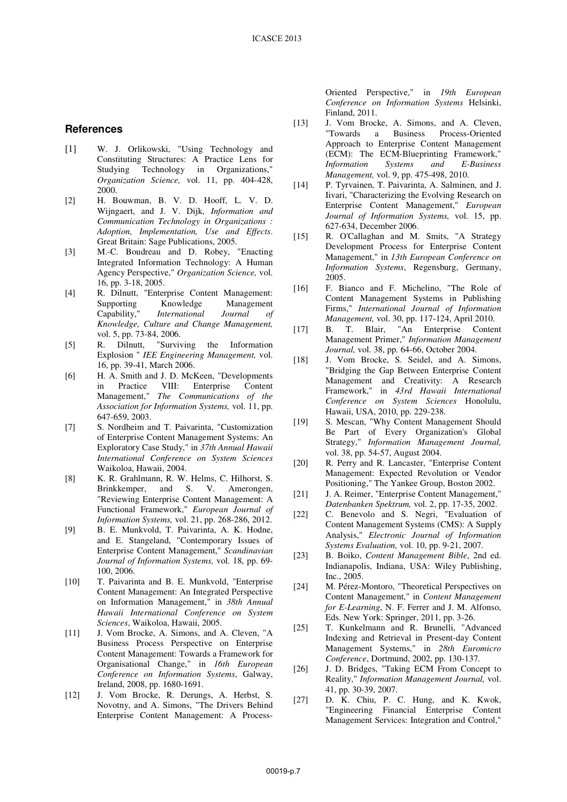# **References**

- [1] W. J. Orlikowski, "Using Technology and Constituting Structures: A Practice Lens for Studying Technology in Organizations," *Organization Science,* vol. 11, pp. 404-428, 2000.
- [2] H. Bouwman, B. V. D. Hooff, L. V. D. Wijngaert, and J. V. Dijk, *Information and Communication Technology in Organizations : Adoption, Implementation, Use and Effects*. Great Britain: Sage Publications, 2005.
- [3] M.-C. Boudreau and D. Robey, "Enacting Integrated Information Technology: A Human Agency Perspective," *Organization Science,* vol. 16, pp. 3-18, 2005.
- [4] R. Dilnutt, "Enterprise Content Management: Supporting Knowledge Management Capability," *International Journal of Knowledge, Culture and Change Management,*  vol. 5, pp. 73-84, 2006.
- [5] R. Dilnutt, "Surviving the Information Explosion " *IEE Engineering Management,* vol. 16, pp. 39-41, March 2006.
- [6] H. A. Smith and J. D. McKeen, "Developments in Practice VIII: Enterprise Management," *The Communications of the Association for Information Systems,* vol. 11, pp. 647-659, 2003.
- [7] S. Nordheim and T. Paivarinta, "Customization of Enterprise Content Management Systems: An Exploratory Case Study," in *37th Annual Hawaii International Conference on System Sciences*  Waikoloa, Hawaii, 2004.
- [8] K. R. Grahlmann, R. W. Helms, C. Hilhorst, S. Brinkkemper, and S. V. Amerongen, "Reviewing Enterprise Content Management: A Functional Framework," *European Journal of Information Systems,* vol. 21, pp. 268-286, 2012.
- [9] B. E. Munkvold, T. Paivarinta, A. K. Hodne, and E. Stangeland, "Contemporary Issues of Enterprise Content Management," *Scandinavian Journal of Information Systems,* vol. 18, pp. 69- 100, 2006.
- [10] T. Paivarinta and B. E. Munkvold, "Enterprise Content Management: An Integrated Perspective on Information Management," in *38th Annual Hawaii International Conference on System Sciences*, Waikoloa, Hawaii, 2005.
- [11] J. Vom Brocke, A. Simons, and A. Cleven, "A Business Process Perspective on Enterprise Content Management: Towards a Framework for Organisational Change," in *16th European Conference on Information Systems*, Galway, Ireland, 2008, pp. 1680-1691.
- [12] J. Vom Brocke, R. Derungs, A. Herbst, S. Novotny, and A. Simons, "The Drivers Behind Enterprise Content Management: A Process-

Oriented Perspective," in *19th European Conference on Information Systems* Helsinki, Finland, 2011.

- [13] J. Vom Brocke, A. Simons, and A. Cleven, "Towards a Business Process-Oriented Approach to Enterprise Content Management (ECM): The ECM-Blueprinting Framework," *Information Systems and E-Business Management,* vol. 9, pp. 475-498, 2010.
- [14] P. Tyrvainen, T. Paivarinta, A. Salminen, and J. Iivari, "Characterizing the Evolving Research on Enterprise Content Management," *European Journal of Information Systems,* vol. 15, pp. 627-634, December 2006.
- [15] R. O'Callaghan and M. Smits, "A Strategy Development Process for Enterprise Content Management," in *13th European Conference on Information Systems*, Regensburg, Germany, 2005.
- [16] F. Bianco and F. Michelino, "The Role of Content Management Systems in Publishing Firms," *International Journal of Information Management,* vol. 30, pp. 117-124, April 2010.
- [17] B. T. Blair, "An Enterprise Content Management Primer," *Information Management Journal,* vol. 38, pp. 64-66, October 2004.
- [18] J. Vom Brocke, S. Seidel, and A. Simons, "Bridging the Gap Between Enterprise Content Management and Creativity: A Research Framework," in *43rd Hawaii International Conference on System Sciences* Honolulu, Hawaii, USA, 2010, pp. 229-238.
- [19] S. Mescan, "Why Content Management Should Be Part of Every Organization's Global Strategy," *Information Management Journal,*  vol. 38, pp. 54-57, August 2004.
- [20] R. Perry and R. Lancaster, "Enterprise Content Management: Expected Revolution or Vendor Positioning," The Yankee Group, Boston 2002.
- [21] J. A. Reimer, "Enterprise Content Management," *Datenbanken Spektrum,* vol. 2, pp. 17-35, 2002.
- [22] C. Benevolo and S. Negri, "Evaluation of Content Management Systems (CMS): A Supply Analysis," *Electronic Journal of Information Systems Evaluation,* vol. 10, pp. 9-21, 2007.
- [23] B. Boiko, *Content Management Bible*, 2nd ed. Indianapolis, Indiana, USA: Wiley Publishing, Inc., 2005.
- [24] M. Pérez-Montoro, "Theoretical Perspectives on Content Management," in *Content Management for E-Learning*, N. F. Ferrer and J. M. Alfonso, Eds. New York: Springer, 2011, pp. 3-26.
- [25] T. Kunkelmann and R. Brunelli, "Advanced Indexing and Retrieval in Present-day Content Management Systems," in *28th Euromicro Conference*, Dortmund, 2002, pp. 130-137.
- [26] J. D. Bridges, "Taking ECM From Concept to Reality," *Information Management Journal,* vol. 41, pp. 30-39, 2007.
- [27] D. K. Chiu, P. C. Hung, and K. Kwok, "Engineering Financial Enterprise Content Management Services: Integration and Control,"